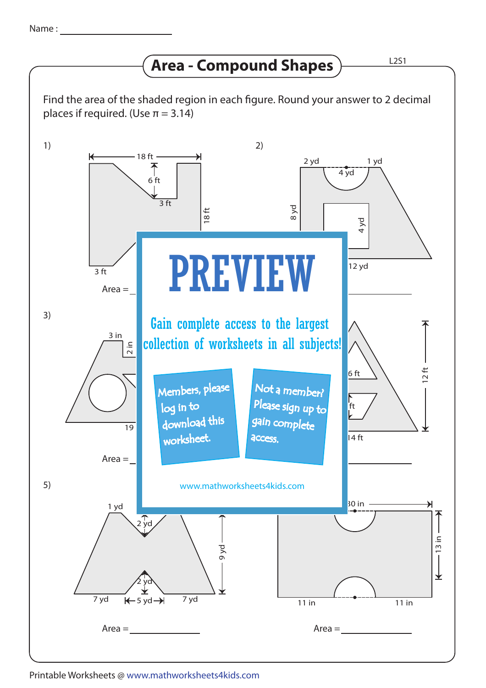## **Area - Compound Shapes**

Find the area of the shaded region in each figure. Round your answer to 2 decimal places if required. (Use  $\pi = 3.14$ )



Printable Worksheets @ www.mathworksheets4kids.com